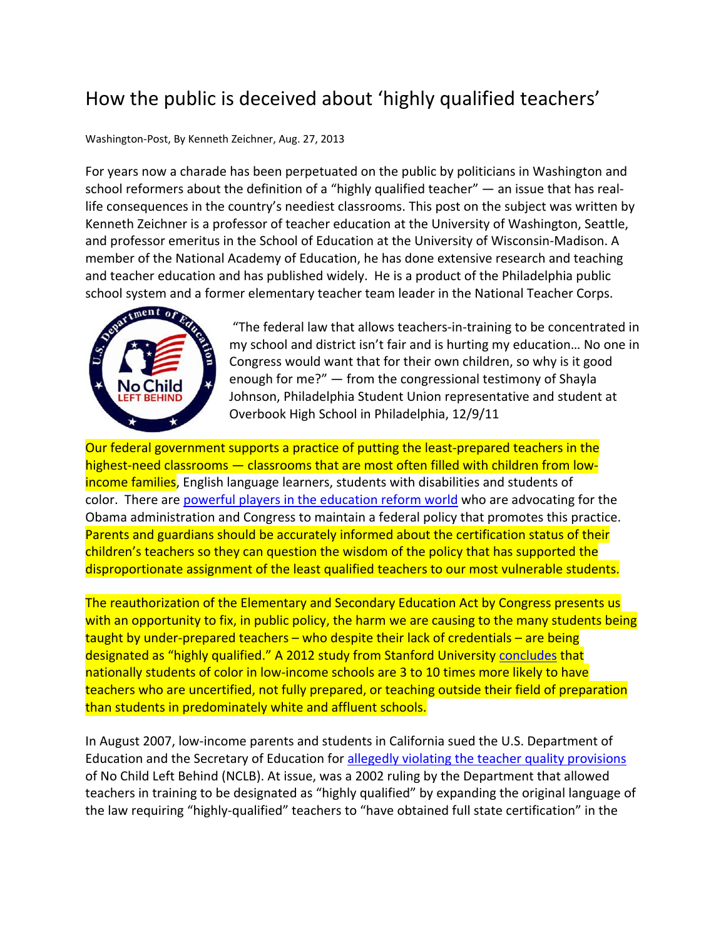## How the public is deceived about 'highly qualified teachers'

## Washington‐Post, By Kenneth Zeichner, Aug. 27, 2013

For years now a charade has been perpetuated on the public by politicians in Washington and school reformers about the definition of a "highly qualified teacher" — an issue that has reallife consequences in the country's neediest classrooms. This post on the subject was written by Kenneth Zeichner is a professor of teacher education at the University of Washington, Seattle, and professor emeritus in the School of Education at the University of Wisconsin‐Madison. A member of the National Academy of Education, he has done extensive research and teaching and teacher education and has published widely. He is a product of the Philadelphia public school system and a former elementary teacher team leader in the National Teacher Corps.



"The federal law that allows teachers‐in‐training to be concentrated in my school and district isn't fair and is hurting my education… No one in Congress would want that for their own children, so why is it good enough for me?" — from the congressional testimony of Shayla Johnson, Philadelphia Student Union representative and student at Overbook High School in Philadelphia, 12/9/11

Our federal government supports a practice of putting the least-prepared teachers in the highest-need classrooms — classrooms that are most often filled with children from lowincome families, English language learners, students with disabilities and students of color. There are powerful players in the education reform world who are advocating for the Obama administration and Congress to maintain a federal policy that promotes this practice. Parents and guardians should be accurately informed about the certification status of their children's teachers so they can question the wisdom of the policy that has supported the disproportionate assignment of the least qualified teachers to our most vulnerable students.

The reauthorization of the Elementary and Secondary Education Act by Congress presents us with an opportunity to fix, in public policy, the harm we are causing to the many students being taught by under‐prepared teachers – who despite their lack of credentials – are being designated as "highly qualified." A 2012 study from Stanford University concludes that nationally students of color in low-income schools are 3 to 10 times more likely to have teachers who are uncertified, not fully prepared, or teaching outside their field of preparation than students in predominately white and affluent schools.

In August 2007, low‐income parents and students in California sued the U.S. Department of Education and the Secretary of Education for allegedly violating the teacher quality provisions of No Child Left Behind (NCLB). At issue, was a 2002 ruling by the Department that allowed teachers in training to be designated as "highly qualified" by expanding the original language of the law requiring "highly‐qualified" teachers to "have obtained full state certification" in the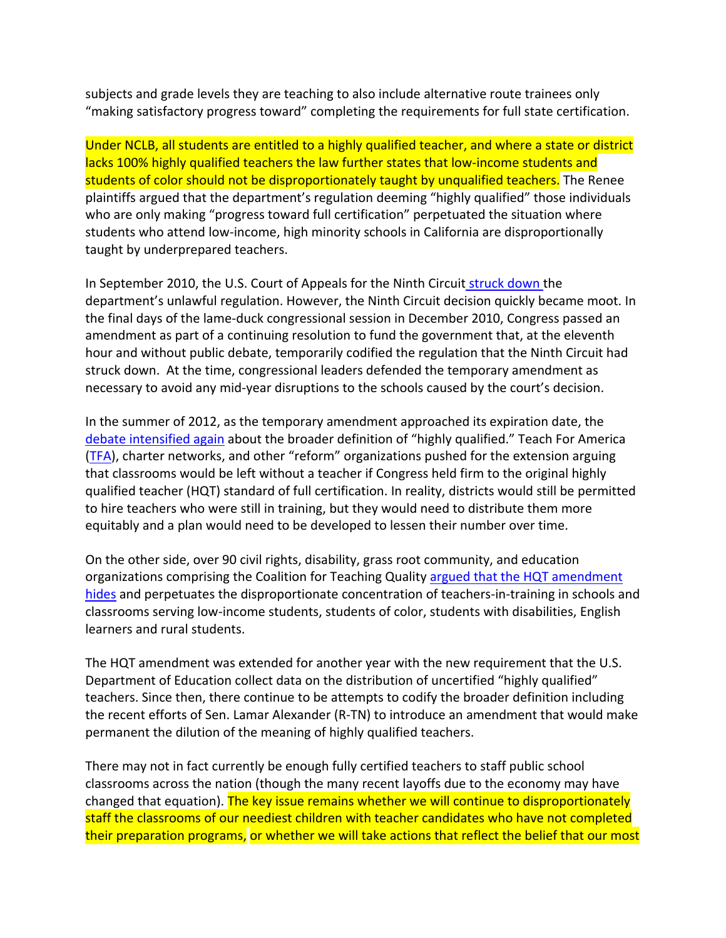subjects and grade levels they are teaching to also include alternative route trainees only "making satisfactory progress toward" completing the requirements for full state certification.

Under NCLB, all students are entitled to a highly qualified teacher, and where a state or district lacks 100% highly qualified teachers the law further states that low-income students and students of color should not be disproportionately taught by unqualified teachers. The Renee plaintiffs argued that the department's regulation deeming "highly qualified" those individuals who are only making "progress toward full certification" perpetuated the situation where students who attend low‐income, high minority schools in California are disproportionally taught by underprepared teachers.

In September 2010, the U.S. Court of Appeals for the Ninth Circuit struck down the department's unlawful regulation. However, the Ninth Circuit decision quickly became moot. In the final days of the lame‐duck congressional session in December 2010, Congress passed an amendment as part of a continuing resolution to fund the government that, at the eleventh hour and without public debate, temporarily codified the regulation that the Ninth Circuit had struck down. At the time, congressional leaders defended the temporary amendment as necessary to avoid any mid-year disruptions to the schools caused by the court's decision.

In the summer of 2012, as the temporary amendment approached its expiration date, the debate intensified again about the broader definition of "highly qualified." Teach For America (TFA), charter networks, and other "reform" organizations pushed for the extension arguing that classrooms would be left without a teacher if Congress held firm to the original highly qualified teacher (HQT) standard of full certification. In reality, districts would still be permitted to hire teachers who were still in training, but they would need to distribute them more equitably and a plan would need to be developed to lessen their number over time.

On the other side, over 90 civil rights, disability, grass root community, and education organizations comprising the Coalition for Teaching Quality argued that the HQT amendment hides and perpetuates the disproportionate concentration of teachers-in-training in schools and classrooms serving low‐income students, students of color, students with disabilities, English learners and rural students.

The HQT amendment was extended for another year with the new requirement that the U.S. Department of Education collect data on the distribution of uncertified "highly qualified" teachers. Since then, there continue to be attempts to codify the broader definition including the recent efforts of Sen. Lamar Alexander (R‐TN) to introduce an amendment that would make permanent the dilution of the meaning of highly qualified teachers.

There may not in fact currently be enough fully certified teachers to staff public school classrooms across the nation (though the many recent layoffs due to the economy may have changed that equation). The key issue remains whether we will continue to disproportionately staff the classrooms of our neediest children with teacher candidates who have not completed their preparation programs, or whether we will take actions that reflect the belief that our most